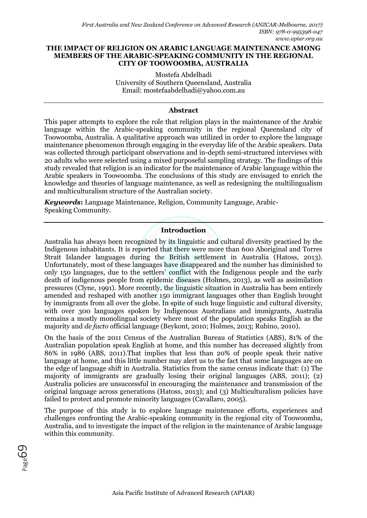#### **THE IMPACT OF RELIGION ON ARABIC LANGUAGE MAINTENANCE AMONG MEMBERS OF THE ARABIC-SPEAKING COMMUNITY IN THE REGIONAL CITY OF TOOWOOMBA, AUSTRALIA**

Mostefa Abdelhadi University of Southern Queensland, Australia Email: [mostefaabdelhadi@yahoo.com.au](mailto:mostefaabdelhadi@yahoo.com.au)

#### **Abstract**

This paper attempts to explore the role that religion plays in the maintenance of the Arabic language within the Arabic-speaking community in the regional Queensland city of Toowoomba, Australia. A qualitative approach was utilized in order to explore the language maintenance phenomenon through engaging in the everyday life of the Arabic speakers. Data was collected through participant observations and in-depth semi-structured interviews with 20 adults who were selected using a mixed purposeful sampling strategy. The findings of this study revealed that religion is an indicator for the maintenance of Arabic language within the Arabic speakers in Toowoomba. The conclusions of this study are envisaged to enrich the knowledge and theories of language maintenance, as well as redesigning the multilingualism and multiculturalism structure of the Australian society.

*Keywords***:** Language Maintenance, Religion, Community Language, Arabic-Speaking Community.

# **Introduction**

Australia has always been recognized by its linguistic and cultural diversity practised by the Indigenous inhabitants. It is reported that there were more than 600 Aboriginal and Torres Strait Islander languages during the British settlement in Australia (Hatoss, 2013). Unfortunately, most of these languages have disappeared and the number has diminished to only 150 languages, due to the settlers' conflict with the Indigenous people and the early death of indigenous people from epidemic diseases (Holmes, 2013), as well as assimilation pressures (Clyne, 1991). More recently, the linguistic situation in Australia has been entirely amended and reshaped with another 150 immigrant languages other than English brought by immigrants from all over the globe. In spite of such huge linguistic and cultural diversity, with over 300 languages spoken by Indigenous Australians and immigrants, Australia remains a mostly monolingual society where most of the population speaks English as the majority and *de facto* official language (Beykont, 2010; Holmes, 2013; Rubino, 2010).

On the basis of the 2011 Census of the Australian Bureau of Statistics (ABS), 81% of the Australian population speak English at home, and this number has decreased slightly from 86% in 1986 (ABS, 2011).That implies that less than 20% of people speak their native language at home, and this little number may alert us to the fact that some languages are on the edge of language shift in Australia. Statistics from the same census indicate that: (1) The majority of immigrants are gradually losing their original languages (ABS, 2011); (2) Australia policies are unsuccessful in encouraging the maintenance and transmission of the original language across generations (Hatoss, 2013); and (3) Multiculturalism policies have failed to protect and promote minority languages (Cavallaro, 2005).

The purpose of this study is to explore language maintenance efforts, experiences and challenges confronting the Arabic-speaking community in the regional city of Toowoomba, Australia, and to investigate the impact of the religion in the maintenance of Arabic language within this community.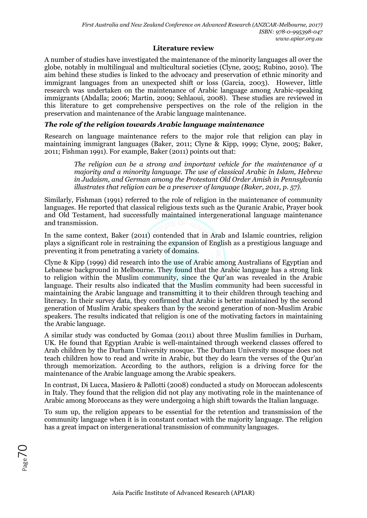#### **Literature review**

A number of studies have investigated the maintenance of the minority languages all over the globe, notably in multilingual and multicultural societies (Clyne, 2005; Rubino, 2010). The aim behind these studies is linked to the advocacy and preservation of ethnic minority and immigrant languages from an unexpected shift or loss (Garcia, 2003). However, little research was undertaken on the maintenance of Arabic language among Arabic-speaking immigrants (Abdalla; 2006; Martin, 2009; Sehlaoui, 2008). These studies are reviewed in this literature to get comprehensive perspectives on the role of the religion in the preservation and maintenance of the Arabic language maintenance.

### *The role of the religion towards Arabic language maintenance*

Research on language maintenance refers to the major role that religion can play in maintaining immigrant languages (Baker, 2011; Clyne & Kipp, 1999; Clyne, 2005; Baker, 2011; Fishman 1991). For example, Baker (2011) points out that:

> *The religion can be a strong and important vehicle for the maintenance of a majority and a minority language. The use of classical Arabic in Islam, Hebrew in Judaism, and German among the Protestant Old Order Amish in Pennsylvania illustrates that religion can be a preserver of language (Baker, 2011, p. 57).*

Similarly, Fishman (1991) referred to the role of religion in the maintenance of community languages. He reported that classical religious texts such as the Quranic Arabic, Prayer book and Old Testament, had successfully maintained intergenerational language maintenance and transmission.

In the same context, Baker (2011) contended that in Arab and Islamic countries, religion plays a significant role in restraining the expansion of English as a prestigious language and preventing it from penetrating a variety of domains.

Clyne & Kipp (1999) did research into the use of Arabic among Australians of Egyptian and Lebanese background in Melbourne. They found that the Arabic language has a strong link to religion within the Muslim community, since the Qur'an was revealed in the Arabic language. Their results also indicated that the Muslim community had been successful in maintaining the Arabic language and transmitting it to their children through teaching and literacy. In their survey data, they confirmed that Arabic is better maintained by the second generation of Muslim Arabic speakers than by the second generation of non-Muslim Arabic speakers. The results indicated that religion is one of the motivating factors in maintaining the Arabic language.

A similar study was conducted by Gomaa (2011) about three Muslim families in Durham, UK. He found that Egyptian Arabic is well-maintained through weekend classes offered to Arab children by the Durham University mosque. The Durham University mosque does not teach children how to read and write in Arabic, but they do learn the verses of the Qur'an through memorization. According to the authors, religion is a driving force for the maintenance of the Arabic language among the Arabic speakers.

In contrast, Di Lucca, Masiero & Pallotti (2008) conducted a study on Moroccan adolescents in Italy. They found that the religion did not play any motivating role in the maintenance of Arabic among Moroccans as they were undergoing a high shift towards the Italian language.

To sum up, the religion appears to be essential for the retention and transmission of the community language when it is in constant contact with the majority language. The religion has a great impact on intergenerational transmission of community languages.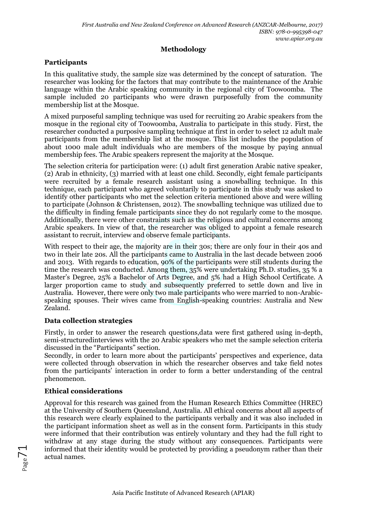### **Methodology**

## **Participants**

In this qualitative study, the sample size was determined by the concept of saturation. The researcher was looking for the factors that may contribute to the maintenance of the Arabic language within the Arabic speaking community in the regional city of Toowoomba. The sample included 20 participants who were drawn purposefully from the community membership list at the Mosque.

A mixed purposeful sampling technique was used for recruiting 20 Arabic speakers from the mosque in the regional city of Toowoomba, Australia to participate in this study. First, the researcher conducted a purposive sampling technique at first in order to select 12 adult male participants from the membership list at the mosque. This list includes the population of about 1000 male adult individuals who are members of the mosque by paying annual membership fees. The Arabic speakers represent the majority at the Mosque.

The selection criteria for participation were: (1) adult first generation Arabic native speaker, (2) Arab in ethnicity, (3) married with at least one child. Secondly, eight female participants were recruited by a female research assistant using a snowballing technique. In this technique, each participant who agreed voluntarily to participate in this study was asked to identify other participants who met the selection criteria mentioned above and were willing to participate (Johnson & Christensen, 2012). The snowballing technique was utilized due to the difficulty in finding female participants since they do not regularly come to the mosque. Additionally, there were other constraints such as the religious and cultural concerns among Arabic speakers. In view of that, the researcher was obliged to appoint a female research assistant to recruit, interview and observe female participants.

With respect to their age, the majority are in their 30s; there are only four in their 40s and two in their late 20s. All the participants came to Australia in the last decade between 2006 and 2013. With regards to education, 90% of the participants were still students during the time the research was conducted. Among them, 35% were undertaking Ph.D. studies, 35 % a Master's Degree, 25% a Bachelor of Arts Degree, and 5% had a High School Certificate. A larger proportion came to study and subsequently preferred to settle down and live in Australia. However, there were only two male participants who were married to non-Arabicspeaking spouses. Their wives came from English-speaking countries: Australia and New Zealand.

#### **Data collection strategies**

Firstly, in order to answer the research questions,data were first gathered using in-depth, semi-structuredinterviews with the 20 Arabic speakers who met the sample selection criteria discussed in the "Participants" section.

Secondly, in order to learn more about the participants' perspectives and experience, data were collected through observation in which the researcher observes and take field notes from the participants' interaction in order to form a better understanding of the central phenomenon.

## **Ethical considerations**

Approval for this research was gained from the Human Research Ethics Committee (HREC) at the University of Southern Queensland, Australia. All ethical concerns about all aspects of this research were clearly explained to the participants verbally and it was also included in the participant information sheet as well as in the consent form. Participants in this study were informed that their contribution was entirely voluntary and they had the full right to withdraw at any stage during the study without any consequences. Participants were informed that their identity would be protected by providing a pseudonym rather than their actual names.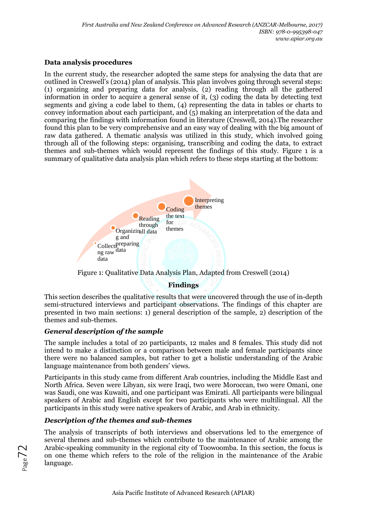### **Data analysis procedures**

In the current study, the researcher adopted the same steps for analysing the data that are outlined in Creswell's (2014) plan of analysis. This plan involves going through several steps: (1) organizing and preparing data for analysis, (2) reading through all the gathered information in order to acquire a general sense of it, (3) coding the data by detecting text segments and giving a code label to them, (4) representing the data in tables or charts to convey information about each participant, and (5) making an interpretation of the data and comparing the findings with information found in literature (Creswell, 2014).The researcher found this plan to be very comprehensive and an easy way of dealing with the big amount of raw data gathered. A thematic analysis was utilized in this study, which involved going through all of the following steps: organising, transcribing and coding the data, to extract themes and sub-themes which would represent the findings of this study. Figure 1 is a summary of qualitative data analysis plan which refers to these steps starting at the bottom:



Figure 1: Qualitative Data Analysis Plan, Adapted from Creswell (2014)

## **Findings**

This section describes the qualitative results that were uncovered through the use of in-depth semi-structured interviews and participant observations. The findings of this chapter are presented in two main sections: 1) general description of the sample, 2) description of the themes and sub-themes.

## *General description of the sample*

The sample includes a total of 20 participants, 12 males and 8 females. This study did not intend to make a distinction or a comparison between male and female participants since there were no balanced samples, but rather to get a holistic understanding of the Arabic language maintenance from both genders' views.

Participants in this study came from different Arab countries, including the Middle East and North Africa. Seven were Libyan, six were Iraqi, two were Moroccan, two were Omani, one was Saudi, one was Kuwaiti, and one participant was Emirati. All participants were bilingual speakers of Arabic and English except for two participants who were multilingual. All the participants in this study were native speakers of Arabic, and Arab in ethnicity.

## *Description of the themes and sub-themes*

The analysis of transcripts of both interviews and observations led to the emergence of several themes and sub-themes which contribute to the maintenance of Arabic among the Arabic-speaking community in the regional city of Toowoomba. In this section, the focus is on one theme which refers to the role of the religion in the maintenance of the Arabic language.

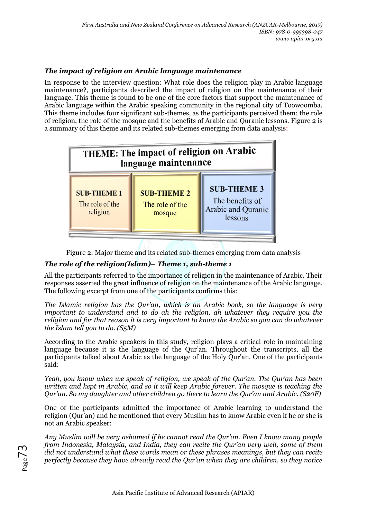# *The impact of religion on Arabic language maintenance*

In response to the interview question: What role does the religion play in Arabic language maintenance?, participants described the impact of religion on the maintenance of their language. This theme is found to be one of the core factors that support the maintenance of Arabic language within the Arabic speaking community in the regional city of Toowoomba. This theme includes four significant sub-themes, as the participants perceived them: the role of religion, the role of the mosque and the benefits of Arabic and Quranic lessons. Figure 2 is a summary of this theme and its related sub-themes emerging from data analysis:



Figure 2: Major theme and its related sub-themes emerging from data analysis

## *The role of the religion(Islam)– Theme 1, sub-theme 1*

All the participants referred to the importance of religion in the maintenance of Arabic. Their responses asserted the great influence of religion on the maintenance of the Arabic language. The following excerpt from one of the participants confirms this:

*The Islamic religion has the Qur'an, which is an Arabic book, so the language is very important to understand and to do ah the religion, ah whatever they require you the religion and for that reason it is very important to know the Arabic so you can do whatever the Islam tell you to do. (S5M)*

According to the Arabic speakers in this study, religion plays a critical role in maintaining language because it is the language of the Qur'an. Throughout the transcripts, all the participants talked about Arabic as the language of the Holy Qur'an. One of the participants said:

*Yeah, you know when we speak of religion, we speak of the Qur'an. The Qur'an has been written and kept in Arabic, and so it will keep Arabic forever. The mosque is teaching the Qur'an. So my daughter and other children go there to learn the Qur'an and Arabic. (S20F)*

One of the participants admitted the importance of Arabic learning to understand the religion (Qur'an) and he mentioned that every Muslim has to know Arabic even if he or she is not an Arabic speaker:

*Any Muslim will be very ashamed if he cannot read the Qur'an. Even I know many people from Indonesia, Malaysia, and India, they can recite the Qur'an very well, some of them did not understand what these words mean or these phrases meanings, but they can recite perfectly because they have already read the Qur'an when they are children, so they notice*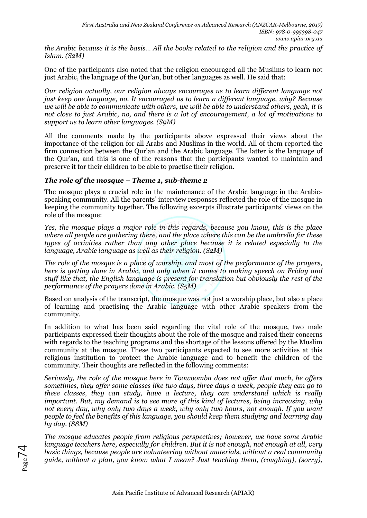*the Arabic because it is the basis… All the books related to the religion and the practice of Islam. (S2M)*

One of the participants also noted that the religion encouraged all the Muslims to learn not just Arabic, the language of the Qur'an, but other languages as well. He said that:

*Our religion actually, our religion always encourages us to learn different language not just keep one language, no. It encouraged us to learn a different language, why? Because we will be able to communicate with others, we will be able to understand others, yeah, it is not close to just Arabic, no, and there is a lot of encouragement, a lot of motivations to support us to learn other languages. (S9M)*

All the comments made by the participants above expressed their views about the importance of the religion for all Arabs and Muslims in the world. All of them reported the firm connection between the Qur'an and the Arabic language. The latter is the language of the Qur'an, and this is one of the reasons that the participants wanted to maintain and preserve it for their children to be able to practise their religion.

#### *The role of the mosque – Theme 1, sub-theme 2*

The mosque plays a crucial role in the maintenance of the Arabic language in the Arabicspeaking community. All the parents' interview responses reflected the role of the mosque in keeping the community together. The following excerpts illustrate participants' views on the role of the mosque:

*Yes, the mosque plays a major role in this regards, because you know, this is the place where all people are gathering there, and the place where this can be the umbrella for these types of activities rather than any other place because it is related especially to the language, Arabic language as well as their religion. (S2M)*

*The role of the mosque is a place of worship, and most of the performance of the prayers, here is getting done in Arabic, and only when it comes to making speech on Friday and stuff like that, the English language is present for translation but obviously the rest of the performance of the prayers done in Arabic. (S5M)*

Based on analysis of the transcript, the mosque was not just a worship place, but also a place of learning and practising the Arabic language with other Arabic speakers from the community.

In addition to what has been said regarding the vital role of the mosque, two male participants expressed their thoughts about the role of the mosque and raised their concerns with regards to the teaching programs and the shortage of the lessons offered by the Muslim community at the mosque. These two participants expected to see more activities at this religious institution to protect the Arabic language and to benefit the children of the community. Their thoughts are reflected in the following comments:

*Seriously, the role of the mosque here in Toowoomba does not offer that much, he offers sometimes, they offer some classes like two days, three days a week, people they can go to these classes, they can study, have a lecture, they can understand which is really important. But, my demand is to see more of this kind of lectures, being increasing, why not every day, why only two days a week, why only two hours, not enough. If you want people to feel the benefits of this language, you should keep them studying and learning day by day. (S8M)*

*The mosque educates people from religious perspectives; however, we have some Arabic language teachers here, especially for children. But it is not enough, not enough at all, very basic things, because people are volunteering without materials, without a real community guide, without a plan, you know what I mean? Just teaching them, (coughing), (sorry),*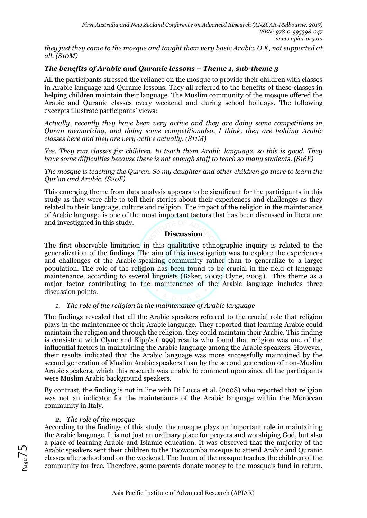*they just they came to the mosque and taught them very basic Arabic, O.K, not supported at all. (S10M)*

### *The benefits of Arabic and Quranic lessons – Theme 1, sub-theme 3*

All the participants stressed the reliance on the mosque to provide their children with classes in Arabic language and Quranic lessons. They all referred to the benefits of these classes in helping children maintain their language. The Muslim community of the mosque offered the Arabic and Quranic classes every weekend and during school holidays. The following excerpts illustrate participants' views:

*Actually, recently they have been very active and they are doing some competitions in Quran memorizing, and doing some competitionalso, I think, they are holding Arabic classes here and they are very active actually. (S11M)*

*Yes. They run classes for children, to teach them Arabic language, so this is good. They have some difficulties because there is not enough staff to teach so many students. (S16F)*

*The mosque is teaching the Qur'an. So my daughter and other children go there to learn the Qur'an and Arabic. (S20F)*

This emerging theme from data analysis appears to be significant for the participants in this study as they were able to tell their stories about their experiences and challenges as they related to their language, culture and religion. The impact of the religion in the maintenance of Arabic language is one of the most important factors that has been discussed in literature and investigated in this study.

**Discussion**

The first observable limitation in this qualitative ethnographic inquiry is related to the generalization of the findings. The aim of this investigation was to explore the experiences and challenges of the Arabic-speaking community rather than to generalize to a larger population. The role of the religion has been found to be crucial in the field of language maintenance, according to several linguists (Baker, 2007; Clyne, 2005). This theme as a major factor contributing to the maintenance of the Arabic language includes three discussion points.

#### *1. The role of the religion in the maintenance of Arabic language*

The findings revealed that all the Arabic speakers referred to the crucial role that religion plays in the maintenance of their Arabic language. They reported that learning Arabic could maintain the religion and through the religion, they could maintain their Arabic. This finding is consistent with Clyne and Kipp's (1999) results who found that religion was one of the influential factors in maintaining the Arabic language among the Arabic speakers. However, their results indicated that the Arabic language was more successfully maintained by the second generation of Muslim Arabic speakers than by the second generation of non-Muslim Arabic speakers, which this research was unable to comment upon since all the participants were Muslim Arabic background speakers.

By contrast, the finding is not in line with Di Lucca et al. (2008) who reported that religion was not an indicator for the maintenance of the Arabic language within the Moroccan community in Italy.

#### *2. The role of the mosque*

According to the findings of this study, the mosque plays an important role in maintaining the Arabic language. It is not just an ordinary place for prayers and worshiping God, but also a place of learning Arabic and Islamic education. It was observed that the majority of the Arabic speakers sent their children to the Toowoomba mosque to attend Arabic and Quranic classes after school and on the weekend. The Imam of the mosque teaches the children of the community for free. Therefore, some parents donate money to the mosque's fund in return.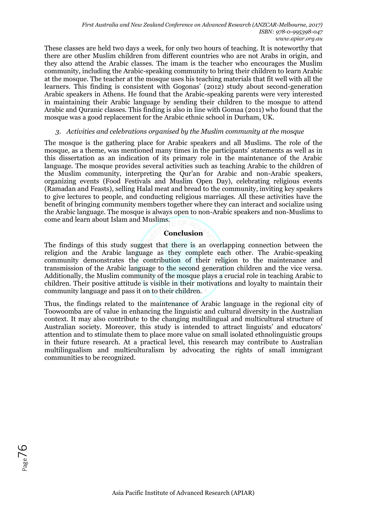These classes are held two days a week, for only two hours of teaching. It is noteworthy that there are other Muslim children from different countries who are not Arabs in origin, and they also attend the Arabic classes. The imam is the teacher who encourages the Muslim community, including the Arabic-speaking community to bring their children to learn Arabic at the mosque. The teacher at the mosque uses his teaching materials that fit well with all the learners. This finding is consistent with Gogonas' (2012) study about second-generation Arabic speakers in Athens. He found that the Arabic-speaking parents were very interested in maintaining their Arabic language by sending their children to the mosque to attend Arabic and Quranic classes. This finding is also in line with Gomaa (2011) who found that the mosque was a good replacement for the Arabic ethnic school in Durham, UK.

#### *3. Activities and celebrations organised by the Muslim community at the mosque*

The mosque is the gathering place for Arabic speakers and all Muslims. The role of the mosque, as a theme, was mentioned many times in the participants' statements as well as in this dissertation as an indication of its primary role in the maintenance of the Arabic language. The mosque provides several activities such as teaching Arabic to the children of the Muslim community, interpreting the Qur'an for Arabic and non-Arabic speakers, organizing events (Food Festivals and Muslim Open Day), celebrating religious events (Ramadan and Feasts), selling Halal meat and bread to the community, inviting key speakers to give lectures to people, and conducting religious marriages. All these activities have the benefit of bringing community members together where they can interact and socialize using the Arabic language. The mosque is always open to non-Arabic speakers and non-Muslims to come and learn about Islam and Muslims.

#### **Conclusion**

The findings of this study suggest that there is an overlapping connection between the religion and the Arabic language as they complete each other. The Arabic-speaking community demonstrates the contribution of their religion to the maintenance and transmission of the Arabic language to the second generation children and the vice versa. Additionally, the Muslim community of the mosque plays a crucial role in teaching Arabic to children. Their positive attitude is visible in their motivations and loyalty to maintain their community language and pass it on to their children.

Thus, the findings related to the maintenance of Arabic language in the regional city of Toowoomba are of value in enhancing the linguistic and cultural diversity in the Australian context. It may also contribute to the changing multilingual and multicultural structure of Australian society. Moreover, this study is intended to attract linguists' and educators' attention and to stimulate them to place more value on small isolated ethnolinguistic groups in their future research. At a practical level, this research may contribute to Australian multilingualism and multiculturalism by advocating the rights of small immigrant communities to be recognized.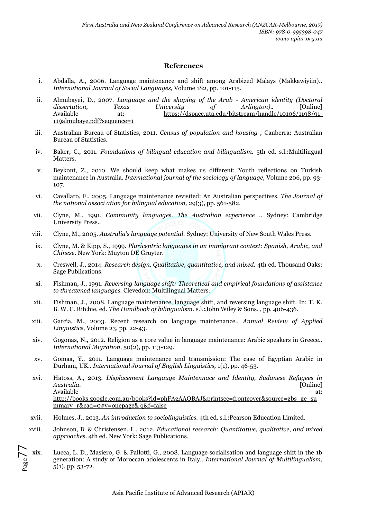#### **References**

- i. Abdalla, A., 2006. Language maintenance and shift among Arabized Malays (Makkawiyiin).. *International Journal of Social Languages,* Volume 182, pp. 101-115.
- ii. Almubayei, D., 2007. *Language and the shaping of the Arab - American identity (Doctoral dissertation, Texas University of Arlington)..* [Online] Available at: https://dspace.uta.edu/bitstream/handle/10106/1198/91-119almubaye.pdf?sequence=1
- iii. Australian Bureau of Statistics, 2011. *Census of population and housing ,* Canberra: Australian Bureau of Statistics.
- iv. Baker, C., 2011. *Foundations of bilingual education and bilingualism.* 5th ed. s.l.:Multilingual Matters.
- v. Beykont, Z., 2010. We should keep what makes us different: Youth reflections on Turkish maintenance in Australia. *International journal of the sociology of language,* Volume 206, pp. 93- 107.
- vi. Cavallaro, F., 2005. Language maintenance revisited: An Australian perspectives. *The Journal of the national associ ation for bilingual education,* 29(3), pp. 561-582.
- vii. Clyne, M., 1991. *Community languages. The Australian experience ..* Sydney: Cambridge University Press..
- viii. Clyne, M., 2005. *Australia's language potential.* Sydney: University of New South Wales Press.
- ix. Clyne, M. & Kipp, S., 1999. *Pluricentric languages in an immigrant context: Spanish, Arabic, and Chinese.* New York: Muyton DE Gruyter.
- x. Creswell, J., 2014. *Research design. Qualitative, quantitative, and mixed.* 4th ed. Thousand Oaks: Sage Publications.
- xi. Fishman, J., 1991. *Reversing language shift: Theoretical and empirical foundations of assistance to threatened languages.* Clevedon: Multilingual Matters.
- xii. Fishman, J., 2008. Language maintenance, language shift, and reversing language shift. In: T. K. B. W. C. Ritchie, ed. *The Handbook of bilingualism.* s.l.:John Wiley & Sons. , pp. 406-436.
- xiii. García, M., 2003. Recent research on language maintenance.. *Annual Review of Applied Linguistics,* Volume 23, pp. 22-43.
- xiv. Gogonas, N., 2012. Religion as a core value in language maintenance: Arabic speakers in Greece.. *International Migration,* 50(2), pp. 113-129.
- xv. Gomaa, Y., 2011. Language maintenance and transmission: The case of Egyptian Arabic in Durham, UK.. *International Journal of English Linguistics,* 1(1), pp. 46-53.
- xvi. Hatoss, A., 2013. *Displacement Langauge Maintennace and Identity, Sudanese Refugees in Australia.* [Online] Available at: the contract of the contract of the contract of the contract of the contract of the contract of the contract of the contract of the contract of the contract of the contract of the contract of the contract of http://books.google.com.au/books?id=phFAgAAQBAJ&printsec=frontcover&source=gbs\_ge\_su mmary\_r&cad=0#v=onepage& q&f=false
- xvii. Holmes, J., 2013. *An introduction to sociolinguistics.* 4th ed. s.l.:Pearson Education Limited.
- xviii. Johnson, B. & Christensen, L., 2012. *Educational research: Quantitative, qualitative, and mixed approaches.* 4th ed. New York: Sage Publications.
- $_{\rm Page}$ 77 xix. Lucca, L. D., Masiero, G. & Pallotti, G., 2008. Language socialisation and language shift in the 1b generation: A study of Moroccan adolescents in Italy.. *International Journal of Multilingualism,*  5(1), pp. 53-72.